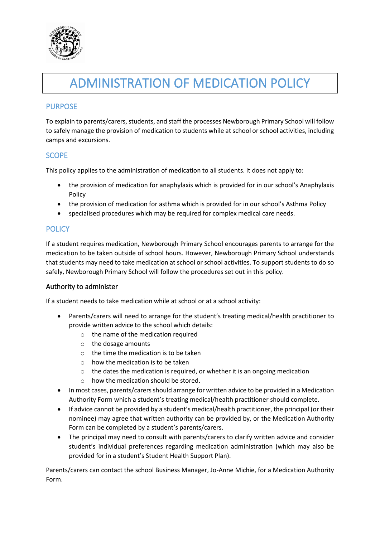

# ADMINISTRATION OF MEDICATION POLICY

# PURPOSE

To explain to parents/carers, students, and staff the processes Newborough Primary School will follow to safely manage the provision of medication to students while at school or school activities, including camps and excursions.

# **SCOPE**

This policy applies to the administration of medication to all students. It does not apply to:

- the provision of medication for anaphylaxis which is provided for in our school's Anaphylaxis Policy
- the provision of medication for asthma which is provided for in our school's Asthma Policy
- specialised procedures which may be required for complex medical care needs.

## **POLICY**

If a student requires medication, Newborough Primary School encourages parents to arrange for the medication to be taken outside of school hours. However, Newborough Primary School understands that students may need to take medication at school or school activities. To support students to do so safely, Newborough Primary School will follow the procedures set out in this policy.

#### Authority to administer

If a student needs to take medication while at school or at a school activity:

- Parents/carers will need to arrange for the student's treating medical/health practitioner to provide written advice to the school which details:
	- o the name of the medication required
	- o the dosage amounts
	- $\circ$  the time the medication is to be taken
	- $\circ$  how the medication is to be taken
	- o the dates the medication is required, or whether it is an ongoing medication
	- o how the medication should be stored.
- In most cases, parents/carers should arrange for written advice to be provided in a Medication Authority Form which a student's treating medical/health practitioner should complete.
- If advice cannot be provided by a student's medical/health practitioner, the principal (or their nominee) may agree that written authority can be provided by, or the Medication Authority Form can be completed by a student's parents/carers.
- The principal may need to consult with parents/carers to clarify written advice and consider student's individual preferences regarding medication administration (which may also be provided for in a student's Student Health Support Plan).

Parents/carers can contact the school Business Manager, Jo-Anne Michie, for a Medication Authority Form.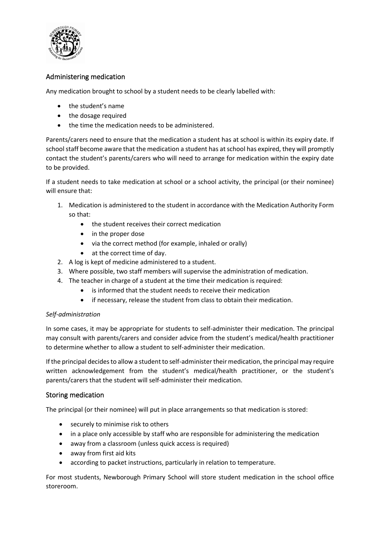

## Administering medication

Any medication brought to school by a student needs to be clearly labelled with:

- the student's name
- the dosage required
- the time the medication needs to be administered.

Parents/carers need to ensure that the medication a student has at school is within its expiry date. If school staff become aware that the medication a student has at school has expired, they will promptly contact the student's parents/carers who will need to arrange for medication within the expiry date to be provided.

If a student needs to take medication at school or a school activity, the principal (or their nominee) will ensure that:

- 1. Medication is administered to the student in accordance with the Medication Authority Form so that:
	- the student receives their correct medication
	- in the proper dose
	- via the correct method (for example, inhaled or orally)
	- at the correct time of day.
- 2. A log is kept of medicine administered to a student.
- 3. Where possible, two staff members will supervise the administration of medication.
- 4. The teacher in charge of a student at the time their medication is required:
	- is informed that the student needs to receive their medication
	- if necessary, release the student from class to obtain their medication.

#### *Self-administration*

In some cases, it may be appropriate for students to self-administer their medication. The principal may consult with parents/carers and consider advice from the student's medical/health practitioner to determine whether to allow a student to self-administer their medication.

If the principal decides to allow a student to self-administer their medication, the principal may require written acknowledgement from the student's medical/health practitioner, or the student's parents/carers that the student will self-administer their medication.

#### Storing medication

The principal (or their nominee) will put in place arrangements so that medication is stored:

- securely to minimise risk to others
- in a place only accessible by staff who are responsible for administering the medication
- away from a classroom (unless quick access is required)
- away from first aid kits
- according to packet instructions, particularly in relation to temperature.

For most students, Newborough Primary School will store student medication in the school office storeroom.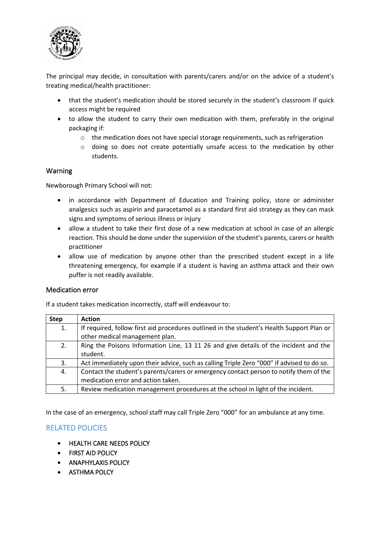

The principal may decide, in consultation with parents/carers and/or on the advice of a student's treating medical/health practitioner:

- that the student's medication should be stored securely in the student's classroom if quick access might be required
- to allow the student to carry their own medication with them, preferably in the original packaging if:
	- $\circ$  the medication does not have special storage requirements, such as refrigeration
	- o doing so does not create potentially unsafe access to the medication by other students.

#### Warning

Newborough Primary School will not:

- in accordance with Department of Education and Training policy, store or administer analgesics such as aspirin and paracetamol as a standard first aid strategy as they can mask signs and symptoms of serious illness or injury
- allow a student to take their first dose of a new medication at school in case of an allergic reaction. This should be done under the supervision of the student's parents, carers or health practitioner
- allow use of medication by anyone other than the prescribed student except in a life threatening emergency, for example if a student is having an asthma attack and their own puffer is not readily available.

#### Medication error

If a student takes medication incorrectly, staff will endeavour to:

| <b>Step</b> | <b>Action</b>                                                                             |
|-------------|-------------------------------------------------------------------------------------------|
| 1.          | If required, follow first aid procedures outlined in the student's Health Support Plan or |
|             | other medical management plan.                                                            |
| 2.          | Ring the Poisons Information Line, 13 11 26 and give details of the incident and the      |
|             | student.                                                                                  |
| 3.          | Act immediately upon their advice, such as calling Triple Zero "000" if advised to do so. |
| 4.          | Contact the student's parents/carers or emergency contact person to notify them of the    |
|             | medication error and action taken.                                                        |
| 5.          | Review medication management procedures at the school in light of the incident.           |

In the case of an emergency, school staff may call Triple Zero "000" for an ambulance at any time.

## RELATED POLICIES

- HEALTH CARE NEEDS POLICY
- FIRST AID POLICY
- ANAPHYLAXIS POLICY
- ASTHMA POLCY